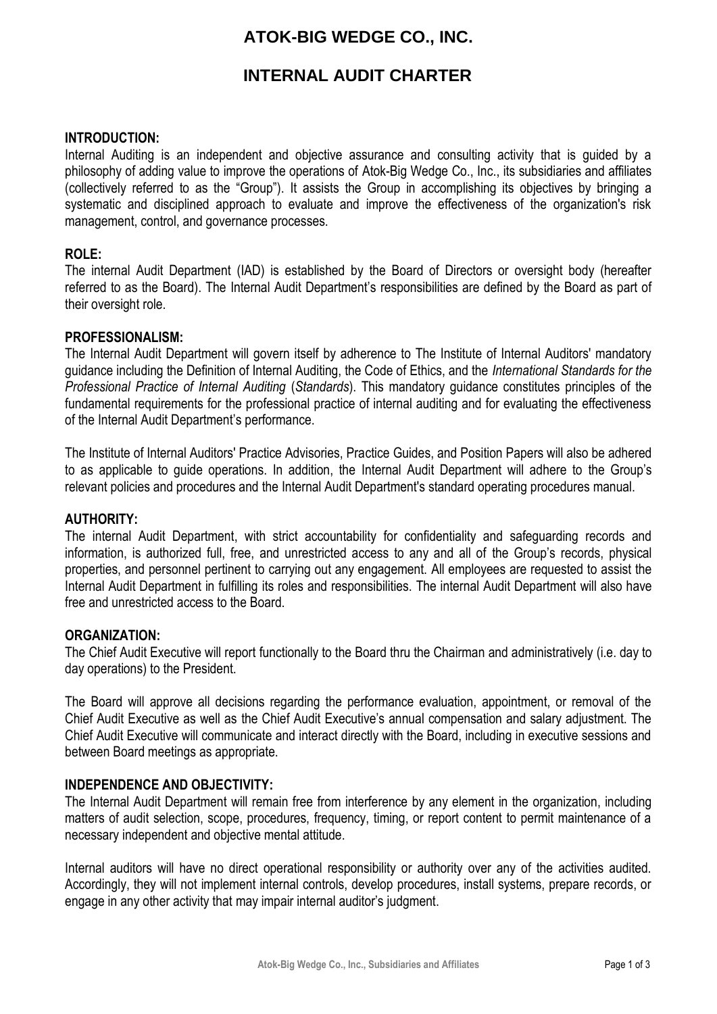# **ATOK-BIG WEDGE CO., INC.**

## **INTERNAL AUDIT CHARTER**

### **INTRODUCTION:**

Internal Auditing is an independent and objective assurance and consulting activity that is guided by a philosophy of adding value to improve the operations of Atok-Big Wedge Co., Inc., its subsidiaries and affiliates (collectively referred to as the "Group"). It assists the Group in accomplishing its objectives by bringing a systematic and disciplined approach to evaluate and improve the effectiveness of the organization's risk management, control, and governance processes.

### **ROLE:**

The internal Audit Department (IAD) is established by the Board of Directors or oversight body (hereafter referred to as the Board). The Internal Audit Department's responsibilities are defined by the Board as part of their oversight role.

### **PROFESSIONALISM:**

The Internal Audit Department will govern itself by adherence to The Institute of Internal Auditors' mandatory guidance including the Definition of Internal Auditing, the Code of Ethics, and the *International Standards for the Professional Practice of Internal Auditing* (*Standards*). This mandatory guidance constitutes principles of the fundamental requirements for the professional practice of internal auditing and for evaluating the effectiveness of the Internal Audit Department's performance.

The Institute of Internal Auditors' Practice Advisories, Practice Guides, and Position Papers will also be adhered to as applicable to guide operations. In addition, the Internal Audit Department will adhere to the Group's relevant policies and procedures and the Internal Audit Department's standard operating procedures manual.

### **AUTHORITY:**

The internal Audit Department, with strict accountability for confidentiality and safeguarding records and information, is authorized full, free, and unrestricted access to any and all of the Group's records, physical properties, and personnel pertinent to carrying out any engagement. All employees are requested to assist the Internal Audit Department in fulfilling its roles and responsibilities. The internal Audit Department will also have free and unrestricted access to the Board.

### **ORGANIZATION:**

The Chief Audit Executive will report functionally to the Board thru the Chairman and administratively (i.e. day to day operations) to the President.

The Board will approve all decisions regarding the performance evaluation, appointment, or removal of the Chief Audit Executive as well as the Chief Audit Executive's annual compensation and salary adjustment. The Chief Audit Executive will communicate and interact directly with the Board, including in executive sessions and between Board meetings as appropriate.

### **INDEPENDENCE AND OBJECTIVITY:**

The Internal Audit Department will remain free from interference by any element in the organization, including matters of audit selection, scope, procedures, frequency, timing, or report content to permit maintenance of a necessary independent and objective mental attitude.

Internal auditors will have no direct operational responsibility or authority over any of the activities audited. Accordingly, they will not implement internal controls, develop procedures, install systems, prepare records, or engage in any other activity that may impair internal auditor's judgment.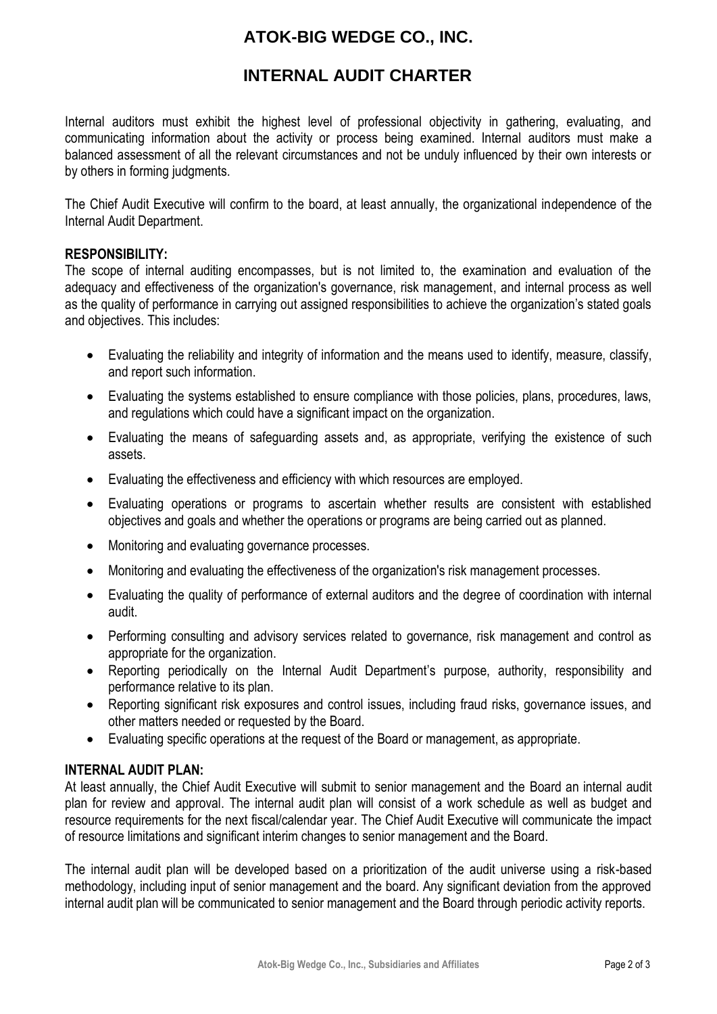# **ATOK-BIG WEDGE CO., INC.**

## **INTERNAL AUDIT CHARTER**

Internal auditors must exhibit the highest level of professional objectivity in gathering, evaluating, and communicating information about the activity or process being examined. Internal auditors must make a balanced assessment of all the relevant circumstances and not be unduly influenced by their own interests or by others in forming judgments.

The Chief Audit Executive will confirm to the board, at least annually, the organizational independence of the Internal Audit Department.

### **RESPONSIBILITY:**

The scope of internal auditing encompasses, but is not limited to, the examination and evaluation of the adequacy and effectiveness of the organization's governance, risk management, and internal process as well as the quality of performance in carrying out assigned responsibilities to achieve the organization's stated goals and objectives. This includes:

- Evaluating the reliability and integrity of information and the means used to identify, measure, classify, and report such information.
- Evaluating the systems established to ensure compliance with those policies, plans, procedures, laws, and regulations which could have a significant impact on the organization.
- Evaluating the means of safeguarding assets and, as appropriate, verifying the existence of such assets.
- Evaluating the effectiveness and efficiency with which resources are employed.
- Evaluating operations or programs to ascertain whether results are consistent with established objectives and goals and whether the operations or programs are being carried out as planned.
- Monitoring and evaluating governance processes.
- Monitoring and evaluating the effectiveness of the organization's risk management processes.
- Evaluating the quality of performance of external auditors and the degree of coordination with internal audit.
- Performing consulting and advisory services related to governance, risk management and control as appropriate for the organization.
- Reporting periodically on the Internal Audit Department's purpose, authority, responsibility and performance relative to its plan.
- Reporting significant risk exposures and control issues, including fraud risks, governance issues, and other matters needed or requested by the Board.
- Evaluating specific operations at the request of the Board or management, as appropriate.

### **INTERNAL AUDIT PLAN:**

At least annually, the Chief Audit Executive will submit to senior management and the Board an internal audit plan for review and approval. The internal audit plan will consist of a work schedule as well as budget and resource requirements for the next fiscal/calendar year. The Chief Audit Executive will communicate the impact of resource limitations and significant interim changes to senior management and the Board.

The internal audit plan will be developed based on a prioritization of the audit universe using a risk-based methodology, including input of senior management and the board. Any significant deviation from the approved internal audit plan will be communicated to senior management and the Board through periodic activity reports.